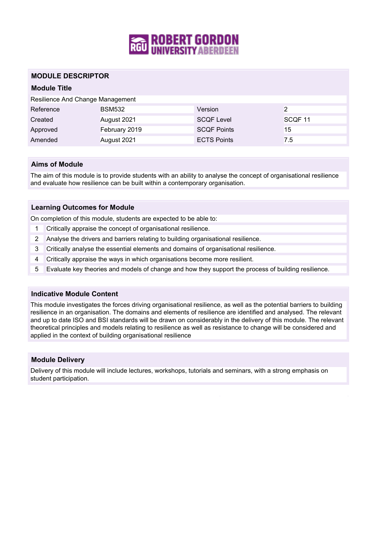

#### **MODULE DESCRIPTOR**

### **Module Title**

| Resilience And Change Management |               |                    |                    |
|----------------------------------|---------------|--------------------|--------------------|
| Reference                        | <b>BSM532</b> | Version            | っ                  |
| Created                          | August 2021   | <b>SCQF Level</b>  | SCQF <sub>11</sub> |
| Approved                         | February 2019 | <b>SCQF Points</b> | 15                 |
| Amended                          | August 2021   | <b>ECTS Points</b> | 7.5                |

#### **Aims of Module**

The aim of this module is to provide students with an ability to analyse the concept of organisational resilience and evaluate how resilience can be built within a contemporary organisation.

#### **Learning Outcomes for Module**

On completion of this module, students are expected to be able to:

- 1 Critically appraise the concept of organisational resilience.
- 2 Analyse the drivers and barriers relating to building organisational resilience.
- 3 Critically analyse the essential elements and domains of organisational resilience.
- 4 Critically appraise the ways in which organisations become more resilient.
- 5 Evaluate key theories and models of change and how they support the process of building resilience.

#### **Indicative Module Content**

This module investigates the forces driving organisational resilience, as well as the potential barriers to building resilience in an organisation. The domains and elements of resilience are identified and analysed. The relevant and up to date ISO and BSI standards will be drawn on considerably in the delivery of this module. The relevant theoretical principles and models relating to resilience as well as resistance to change will be considered and applied in the context of building organisational resilience

#### **Module Delivery**

Delivery of this module will include lectures, workshops, tutorials and seminars, with a strong emphasis on student participation.